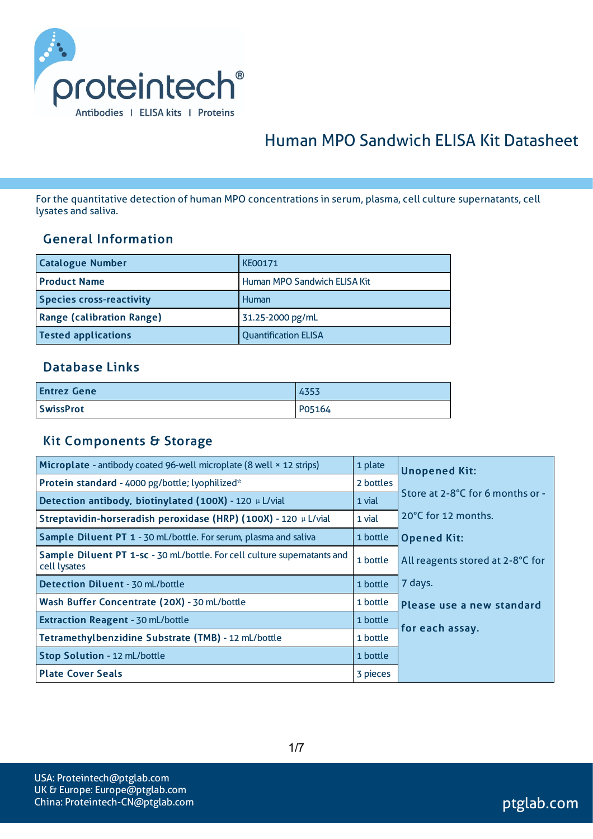

# Human MPO Sandwich ELISA Kit Datasheet

For the quantitative detection of human MPO concentrations in serum, plasma, cell culture supernatants, cell lysates and saliva.

#### General Information

| <b>Catalogue Number</b>          | <b>KE00171</b>               |
|----------------------------------|------------------------------|
| <b>Product Name</b>              | Human MPO Sandwich ELISA Kit |
| <b>Species cross-reactivity</b>  | Human                        |
| <b>Range (calibration Range)</b> | 31.25-2000 pg/mL             |
| <b>Tested applications</b>       | <b>Quantification ELISA</b>  |

### Database Links

| <b>Entrez Gene</b> | 4353   |
|--------------------|--------|
| <b>SwissProt</b>   | P05164 |

#### Kit Components & Storage

| Microplate - antibody coated 96-well microplate (8 well × 12 strips)                     | 1 plate   | <b>Unopened Kit:</b>             |  |
|------------------------------------------------------------------------------------------|-----------|----------------------------------|--|
| Protein standard - 4000 pg/bottle; lyophilized*                                          | 2 bottles |                                  |  |
| Detection antibody, biotinylated (100X) - 120 µ L/vial                                   | 1 vial    | Store at 2-8°C for 6 months or - |  |
| Streptavidin-horseradish peroxidase (HRP) (100X) - 120 µ L/vial                          | 1 vial    | 20°C for 12 months.              |  |
| Sample Diluent PT 1 - 30 mL/bottle. For serum, plasma and saliva                         | 1 bottle  | <b>Opened Kit:</b>               |  |
| Sample Diluent PT 1-sc - 30 mL/bottle. For cell culture supernatants and<br>cell lysates | 1 bottle  | All reagents stored at 2-8°C for |  |
| <b>Detection Diluent - 30 mL/bottle</b>                                                  | 1 bottle  | 7 days.                          |  |
| Wash Buffer Concentrate (20X) - 30 mL/bottle                                             | 1 bottle  | Please use a new standard        |  |
| <b>Extraction Reagent - 30 mL/bottle</b>                                                 | 1 bottle  | for each assay.                  |  |
| Tetramethylbenzidine Substrate (TMB) - 12 mL/bottle                                      | 1 bottle  |                                  |  |
| Stop Solution - 12 mL/bottle                                                             | 1 bottle  |                                  |  |
| <b>Plate Cover Seals</b>                                                                 | 3 pieces  |                                  |  |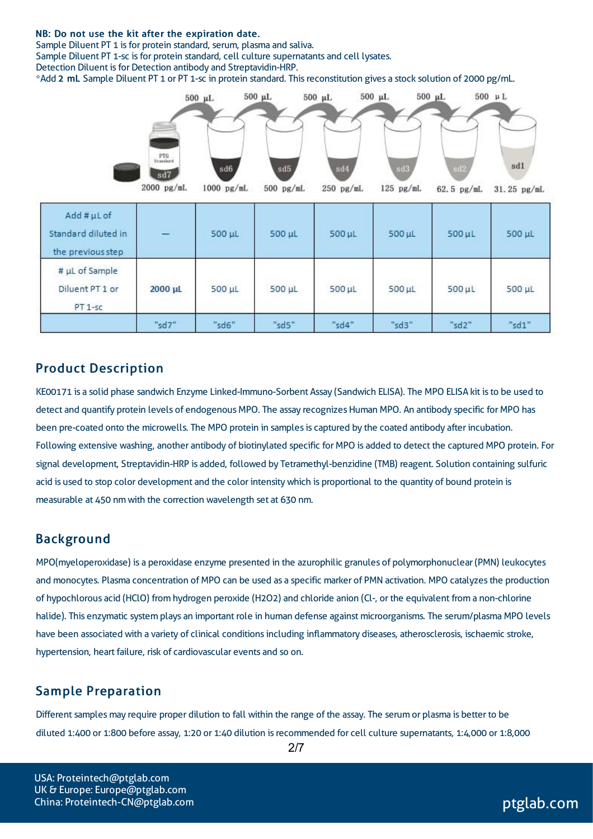#### NB: Do not use the kit after the expiration date.

Sample Diluent PT 1 is for protein standard, serum, plasma and saliva.

Sample Diluent PT 1-sc is for protein standard, cell culture supernatants and cell lysates.

Detection Diluent is for Detection antibody and Streptavidin-HRP.

\*Add 2 mL Sample Diluent PT 1 or PT 1-sc in protein standard. Thisreconstitution gives a stock solution of 2000 pg/mL.



### Product Description

KE00171 is a solid phase sandwich Enzyme Linked-Immuno-Sorbent Assay (Sandwich ELISA). The MPO ELISA kit isto be used to detect and quantify protein levels of endogenous MPO. The assay recognizes Human MPO. An antibody specific for MPO has been pre-coated onto the microwells. The MPO protein in samples is captured by the coated antibody after incubation. Following extensive washing, another antibody of biotinylated specific for MPO is added to detect the captured MPO protein. For signal development, Streptavidin-HRP is added, followed by Tetramethyl-benzidine (TMB) reagent. Solution containing sulfuric acid is used to stop color development and the color intensitywhich is proportional to the quantity of bound protein is measurable at 450 nm with the correction wavelength set at 630 nm.

#### Background

MPO(myeloperoxidase) is a peroxidase enzyme presented in the azurophilic granules of polymorphonuclear (PMN) leukocytes and monocytes. Plasma concentration of MPO can be used as a specific marker of PMN activation. MPO catalyzes the production of hypochlorous acid (HClO) from hydrogen peroxide (H2O2) and chloride anion (Cl-, or the equivalent from a non-chlorine halide). This enzymatic system plays an important role in human defense against microorganisms. The serum/plasma MPO levels have been associated with a variety of clinical conditions including inflammatory diseases, atherosclerosis, ischaemic stroke, hypertension, heart failure, risk of cardiovascular events and so on.

### Sample Preparation

Different samples may require proper dilution to fall within the range of the assay. The serum or plasma is better to be diluted 1:400 or 1:800 before assay, 1:20 or 1:40 dilution isrecommended for cell culture supernatants, 1:4,000 or 1:8,000

USA: Proteintech@ptglab.com UK & Europe: Europe@ptglab.com China: Proteintech-CN@ptglab.com and ptglab.com ptglab.com ptglab.com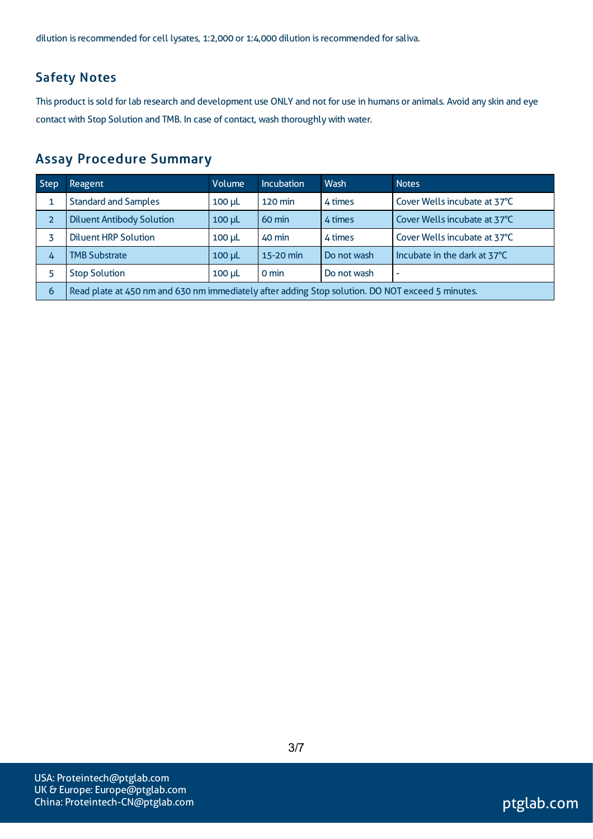dilution is recommended for cell lysates, 1:2,000 or 1:4,000 dilution is recommended for saliva.

### Safety Notes

This product is sold for lab research and development use ONLY and not for use in humans or animals. Avoid any skin and eye contact with Stop Solution and TMB. In case of contact, wash thoroughly with water.

### Assay Procedure Summary

| Step           | <b>Reagent</b>                                                                                   | Volume        | <b>Incubation</b> | Wash        | <b>Notes</b>                 |  |
|----------------|--------------------------------------------------------------------------------------------------|---------------|-------------------|-------------|------------------------------|--|
|                | <b>Standard and Samples</b>                                                                      | $100 \mu L$   | <b>120 min</b>    | 4 times     | Cover Wells incubate at 37°C |  |
| $\overline{2}$ | <b>Diluent Antibody Solution</b>                                                                 | $100$ $\mu$ L | $60 \text{ min}$  | 4 times     | Cover Wells incubate at 37°C |  |
|                | <b>Diluent HRP Solution</b>                                                                      | $100 \mu L$   | 40 min            | 4 times     | Cover Wells incubate at 37°C |  |
| 4              | <b>TMB Substrate</b>                                                                             | $100 \mu L$   | 15-20 min         | Do not wash | Incubate in the dark at 37°C |  |
|                | <b>Stop Solution</b>                                                                             | $100$ $\mu$   | $0 \text{ min}$   | Do not wash | $\overline{\phantom{a}}$     |  |
| 6              | Read plate at 450 nm and 630 nm immediately after adding Stop solution. DO NOT exceed 5 minutes. |               |                   |             |                              |  |

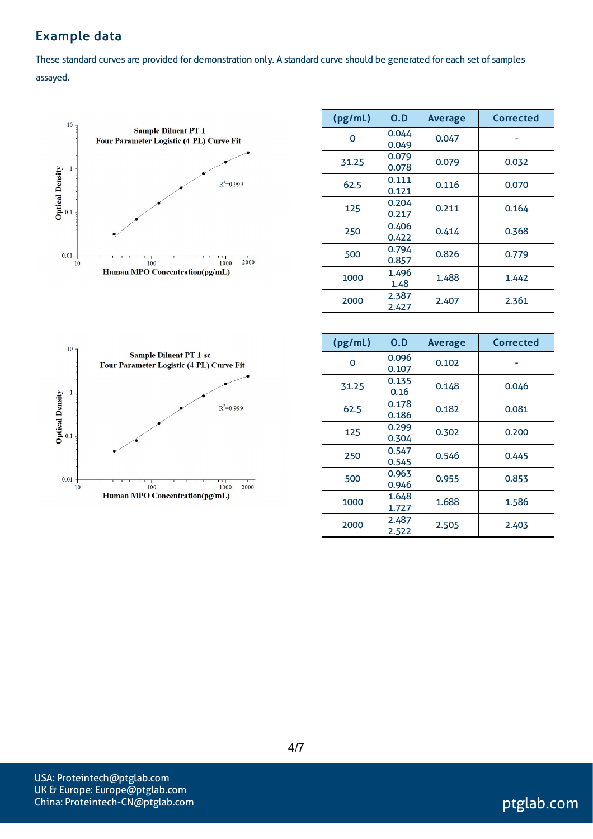## Example data

These standard curves are provided for demonstration only. A standard curve should be generated for each set of samples assayed.



| (pg/mL) | 0.D            | <b>Average</b> | <b>Corrected</b> |
|---------|----------------|----------------|------------------|
| O       | 0.044<br>0.049 | 0.047          |                  |
| 31.25   | 0.079<br>0.078 | 0.079          | 0.032            |
| 62.5    | 0.111<br>0.121 | 0.116          | 0.070            |
| 125     | 0.204<br>0.217 | 0.211          | 0.164            |
| 250     | 0.406<br>0.422 | 0.414          | 0.368            |
| 500     | 0.794<br>0.857 | 0.826          | 0.779            |
| 1000    | 1.496<br>1.48  | 1.488          | 1.442            |
| 2000    | 2.387<br>2.427 | 2.407          | 2.361            |



| (pg/mL) | 0.D            | <b>Average</b> | Corrected |
|---------|----------------|----------------|-----------|
| 0       | 0.096<br>0.107 | 0.102          |           |
| 31.25   | 0.135<br>0.16  | 0.148          | 0.046     |
| 62.5    | 0.178<br>0.186 | 0.182          | 0.081     |
| 125     | 0.299<br>0.304 | 0.302          | 0.200     |
| 250     | 0.547<br>0.545 | 0.546          | 0.445     |
| 500     | 0.963<br>0.946 | 0.955          | 0.853     |
| 1000    | 1.648<br>1.727 | 1.688          | 1.586     |
| 2000    | 2.487<br>2.522 | 2.505          | 2.403     |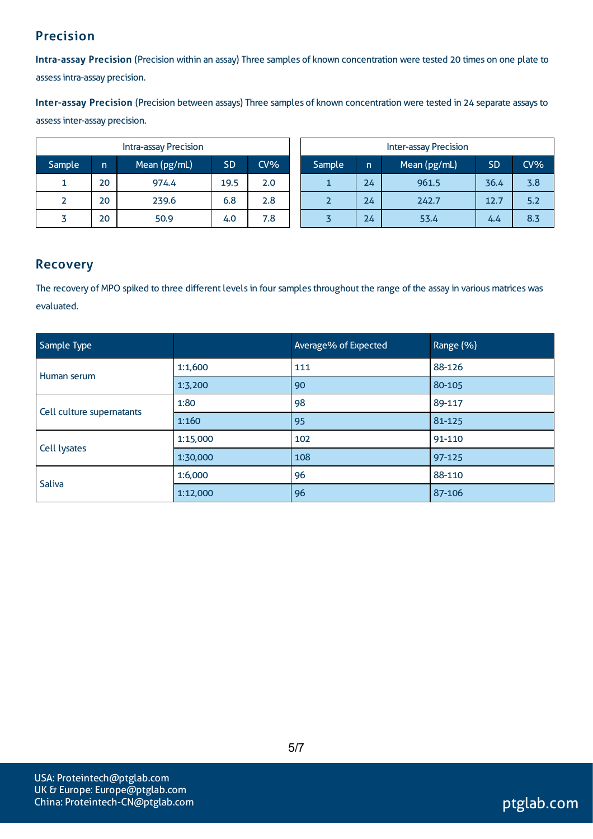## Precision

Intra-assay Precision (Precision within an assay) Three samples of known concentration were tested 20 times on one plate to assessintra-assay precision.

Inter-assay Precision (Precision between assays) Three samples of known concentration were tested in 24 separate assaysto assessinter-assay precision.

|        |    | <b>Intra-assay Precision</b> |           |        | <b>Inter-assay Precision</b> |         |    |              |           |     |
|--------|----|------------------------------|-----------|--------|------------------------------|---------|----|--------------|-----------|-----|
| Sample | n  | Mean (pg/mL)                 | <b>SD</b> | $CV\%$ |                              | 'Sample | n  | Mean (pg/mL) | <b>SD</b> | CV% |
|        | 20 | 974.4                        | 19.5      | 2.0    |                              |         | 24 | 961.5        | 36.4      | 3.8 |
|        | 20 | 239.6                        | 6.8       | 2.8    |                              |         | 24 | 242.7        | 12.7      | 5.2 |
|        | 20 | 50.9                         | 4.0       | 7.8    |                              |         | 24 | 53.4         | 4.4       | 8.3 |

### Recovery

The recovery of MPO spiked to three different levels in four samples throughout the range of the assay in various matrices was evaluated.

| Sample Type               |          | Average% of Expected | Range (%) |
|---------------------------|----------|----------------------|-----------|
| Human serum               | 1:1,600  | 111                  | 88-126    |
|                           | 1:3,200  | 90                   | 80-105    |
| Cell culture supernatants | 1:80     | 98                   | 89-117    |
|                           | 1:160    | 95                   | 81-125    |
|                           | 1:15,000 | 102                  | 91-110    |
| Cell lysates              | 1:30,000 | 108                  | 97-125    |
| Saliva                    | 1:6,000  | 96                   | 88-110    |
|                           | 1:12,000 | 96                   | 87-106    |

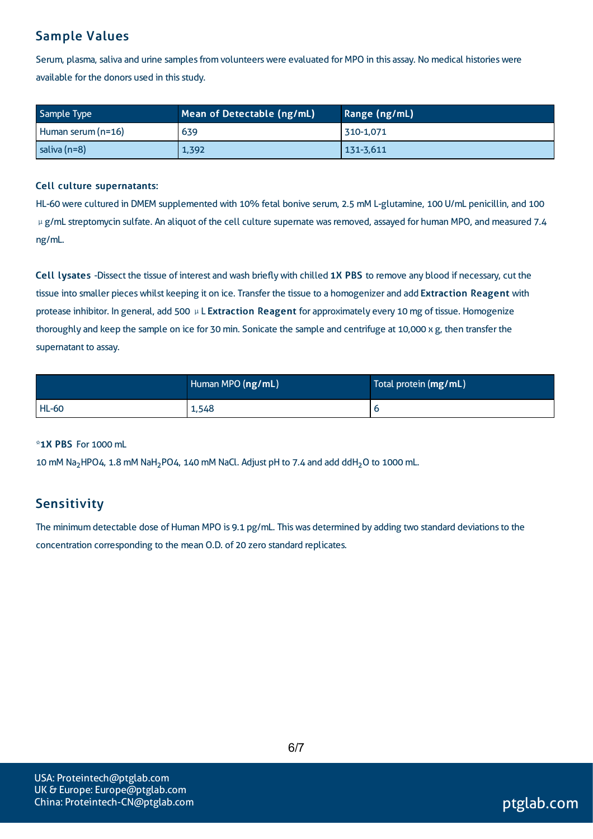### Sample Values

Serum, plasma, saliva and urine samples from volunteers were evaluated for MPO in this assay. No medical histories were available for the donors used in this study.

| Sample Type          | Mean of Detectable (ng/mL) | Range (ng/mL) |
|----------------------|----------------------------|---------------|
| Human serum $(n=16)$ | 639                        | 310-1,071     |
| saliva (n=8)         | 1,392                      | 131-3,611     |

#### Cell culture supernatants:

HL-60 were cultured in DMEM supplemented with 10% fetal bonive serum, 2.5 mM L-glutamine, 100 U/mL penicillin, and 100 μg/mL streptomycin sulfate. An aliquot of the cell culture supernate was removed, assayed for human MPO, and measured 7.4 ng/mL.

Cell lysates -Dissect the tissue of interest and wash brieflywith chilled 1X PBS to remove any blood if necessary, cut the tissue into smaller pieces whilst keeping it on ice. Transfer the tissue to a homogenizer and add Extraction Reagent with protease inhibitor. In general, add 500 μL Extraction Reagent for approximately every 10 mg of tissue. Homogenize thoroughly and keep the sample on ice for 30 min. Sonicate the sample and centrifuge at 10,000  $\times$  g, then transfer the supernatant to assay.

|              | Human MPO (ng/mL) | Total protein (mg/mL) |
|--------------|-------------------|-----------------------|
| <b>HL-60</b> | 1,548             |                       |

#### \*1X PBS For 1000 mL

10 mM Na<sub>2</sub>HPO4, 1.8 mM NaH<sub>2</sub>PO4, 140 mM NaCl. Adjust pH to 7.4 and add ddH<sub>2</sub>O to 1000 mL.

### Sensitivity

The minimum detectable dose of Human MPO is 9.1 pg/mL. This was determined by adding two standard deviations to the concentration corresponding to the mean O.D. of 20 zero standard replicates.